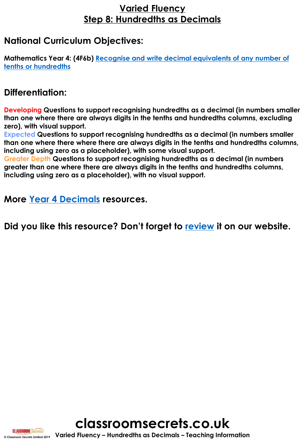# **Varied Fluency Step 8: Hundredths as Decimals**

# **National Curriculum Objectives:**

**[Mathematics Year 4: \(4F6b\) Recognise and write decimal equivalents of any number of](https://classroomsecrets.co.uk/content-domain-filter/?fwp_contentdomain=4f6b)  tenths or hundredths** 

# **Differentiation:**

**Developing Questions to support recognising hundredths as a decimal (in numbers smaller than one where there are always digits in the tenths and hundredths columns, excluding zero), with visual support.** 

**Expected Questions to support recognising hundredths as a decimal (in numbers smaller than one where there where there are always digits in the tenths and hundredths columns, including using zero as a placeholder), with some visual support.** 

**Greater Depth Questions to support recognising hundredths as a decimal (in numbers greater than one where there are always digits in the tenths and hundredths columns, including using zero as a placeholder), with no visual support.** 

**More [Year 4 Decimals](https://classroomsecrets.co.uk/category/maths/year-4/spring-block-4-decimals/) resources.**

**Did you like this resource? Don't forget to [review](https://classroomsecrets.co.uk/hundredths-as-decimals-year-4-decimals-resource-pack) it on our website.**

**classroomsecrets.co.uk**



**© Classroom Secrets Limited 2019 Varied Fluency – Hundredths as Decimals – Teaching Information**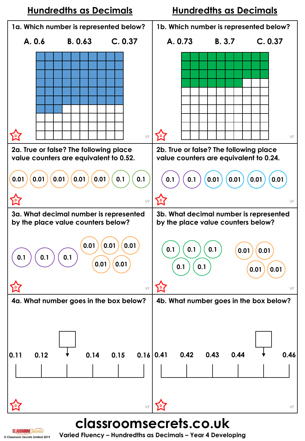

**classroomsecrets.co.uk**

**© Classroom Secrets Limited 2019 Varied Fluency – Hundredths as Decimals – Year 4 Developing**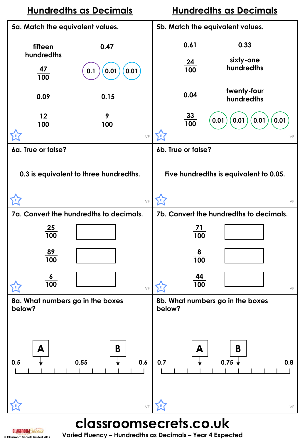

**classroomsecrets.co.uk**

**© Classroom Secrets Limited 2019 Varied Fluency – Hundredths as Decimals – Year 4 Expected**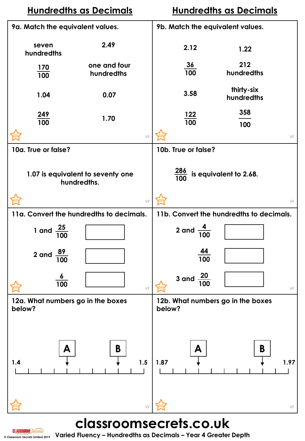

**classroomsecrets.co.uk**

**© Classroom Secrets Limited 2019 Varied Fluency – Hundredths as Decimals – Year 4 Greater Depth**